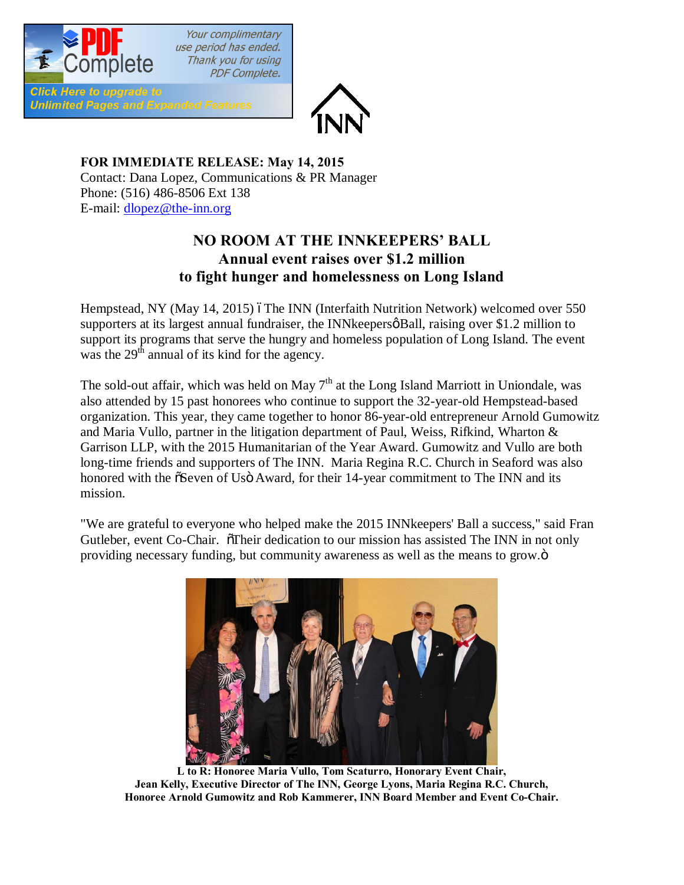

Your complimentary use period has ended. Thank you for using **PDF Complete.** 

**Click Here to upgrade to Unlimited Pages and Expanded Features** 



**FOR IMMEDIATE RELEASE: May 14, 2015** Contact: Dana Lopez, Communications & PR Manager Phone: (516) 486-8506 Ext 138 E-mail: [dlopez@the-inn.org](mailto:dlopez@the-inn.org)

## **NO ROOM AT THE INNKEEPERS' BALL Annual event raises over \$1.2 million to fight hunger and homelessness on Long Island**

Hempstead, NY (May 14, 2015) óThe INN (Interfaith Nutrition Network) welcomed over 550 supporters at its largest annual fundraiser, the INN keepers  $\beta$ Ball, raising over \$1.2 million to support its programs that serve the hungry and homeless population of Long Island. The event was the  $29<sup>th</sup>$  annual of its kind for the agency.

The sold-out affair, which was held on May  $7<sup>th</sup>$  at the Long Island Marriott in Uniondale, was also attended by 15 past honorees who continue to support the 32-year-old Hempstead-based organization. This year, they came together to honor 86-year-old entrepreneur Arnold Gumowitz and Maria Vullo, partner in the litigation department of Paul, Weiss, Rifkind, Wharton & Garrison LLP, with the 2015 Humanitarian of the Year Award. Gumowitz and Vullo are both long-time friends and supporters of The INN. Maria Regina R.C. Church in Seaford was also honored with the  $\tilde{o}S$ even of Usö Award, for their 14-year commitment to The INN and its mission.

"We are grateful to everyone who helped make the 2015 INNkeepers' Ball a success," said Fran Gutleber, event Co-Chair. Their dedication to our mission has assisted The INN in not only providing necessary funding, but community awareness as well as the means to grow. $\ddot{o}$ 



**L to R: Honoree Maria Vullo, Tom Scaturro, Honorary Event Chair, Jean Kelly, Executive Director of The INN, George Lyons, Maria Regina R.C. Church, Honoree Arnold Gumowitz and Rob Kammerer, INN Board Member and Event Co-Chair.**